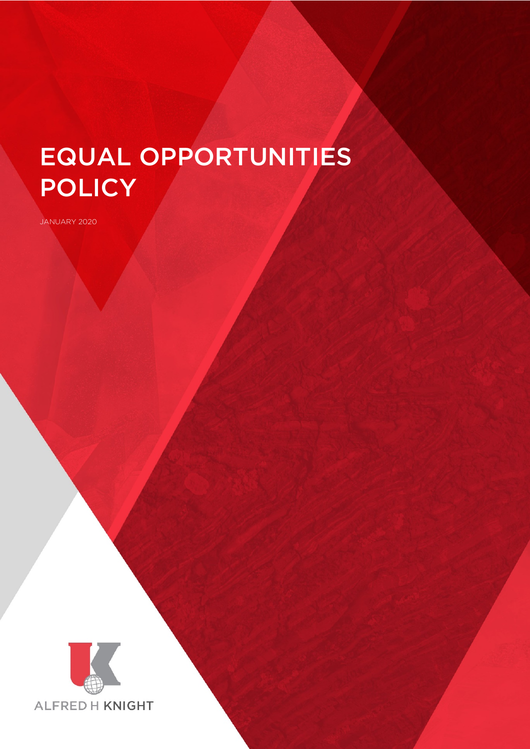# EQUAL OPPORTUNITIES **POLICY**

JANUARY 2020



 $\mathbb{E}_{\mathcal{A}}$  . The contract policy Page 1 of 10 of 10 of 10 of 10 of 10 of 10 of 10 of 10 of 10 of 10 of 10 of 10 of 10 of 10 of 10 of 10 of 10 of 10 of 10 of 10 of 10 of 10 of 10 of 10 of 10 of 10 of 10 of 10 of 10 of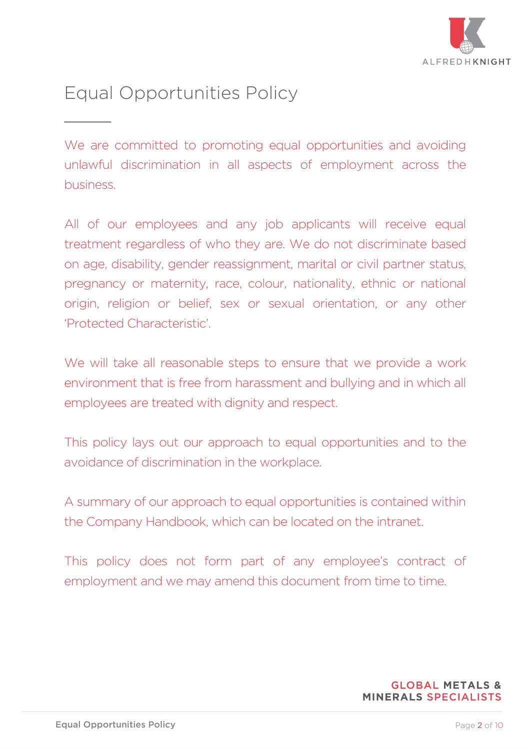

# Equal Opportunities Policy  $\overline{\phantom{a}}$

We are committed to promoting equal opportunities and avoiding unlawful discrimination in all aspects of employment across the business.

All of our employees and any job applicants will receive equal treatment regardless of who they are. We do not discriminate based on age, disability, gender reassignment, marital or civil partner status, pregnancy or maternity, race, colour, nationality, ethnic or national origin, religion or belief, sex or sexual orientation, or any other 'Protected Characteristic'.

We will take all reasonable steps to ensure that we provide a work environment that is free from harassment and bullying and in which all employees are treated with dignity and respect.

This policy lays out our approach to equal opportunities and to the avoidance of discrimination in the workplace.

A summary of our approach to equal opportunities is contained within the Company Handbook, which can be located on the intranet.

This policy does not form part of any employee's contract of employment and we may amend this document from time to time.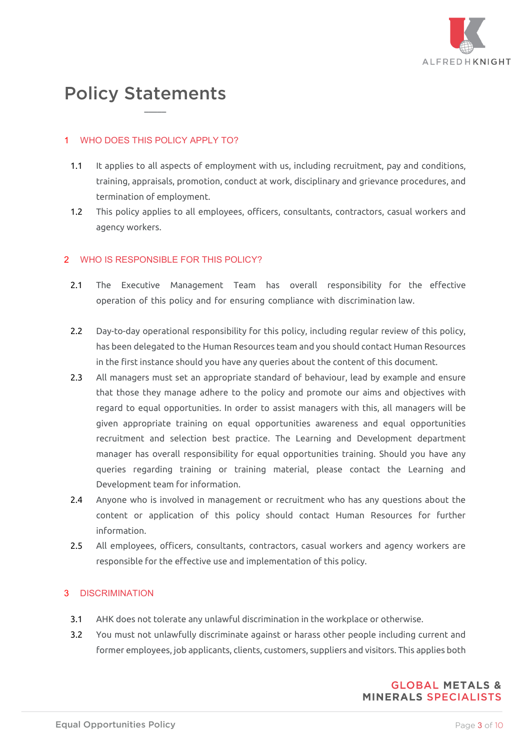

# Policy Statements

#### **WHO DOES THIS POLICY APPLY TO?**

 $\overline{\phantom{a}}$ 

- 1.1 It applies to all aspects of employment with us, including recruitment, pay and conditions, training, appraisals, promotion, conduct at work, disciplinary and grievance procedures, and termination of employment.
- 1.2 This policy applies to all employees, officers, consultants, contractors, casual workers and agency workers.

## 2 WHO IS RESPONSIBLE FOR THIS POLICY?

- 2.1 The Executive Management Team has overall responsibility for the effective operation of this policy and for ensuring compliance with discrimination law.
- 2.2 Day-to-day operational responsibility for this policy, including regular review of this policy, has been delegated to the Human Resources team and you should contact Human Resources in the first instance should you have any queries about the content of this document.
- 2.3 All managers must set an appropriate standard of behaviour, lead by example and ensure that those they manage adhere to the policy and promote our aims and objectives with regard to equal opportunities. In order to assist managers with this, all managers will be given appropriate training on equal opportunities awareness and equal opportunities recruitment and selection best practice. The Learning and Development department manager has overall responsibility for equal opportunities training. Should you have any queries regarding training or training material, please contact the Learning and Development team for information.
- 2.4 Anyone who is involved in management or recruitment who has any questions about the content or application of this policy should contact Human Resources for further information.
- 2.5 All employees, officers, consultants, contractors, casual workers and agency workers are responsible for the effective use and implementation of this policy.

## 3 DISCRIMINATION

- 3.1 AHK does not tolerate any unlawful discrimination in the workplace or otherwise.
- 3.2 You must not unlawfully discriminate against or harass other people including current and former employees, job applicants, clients, customers, suppliers and visitors. This applies both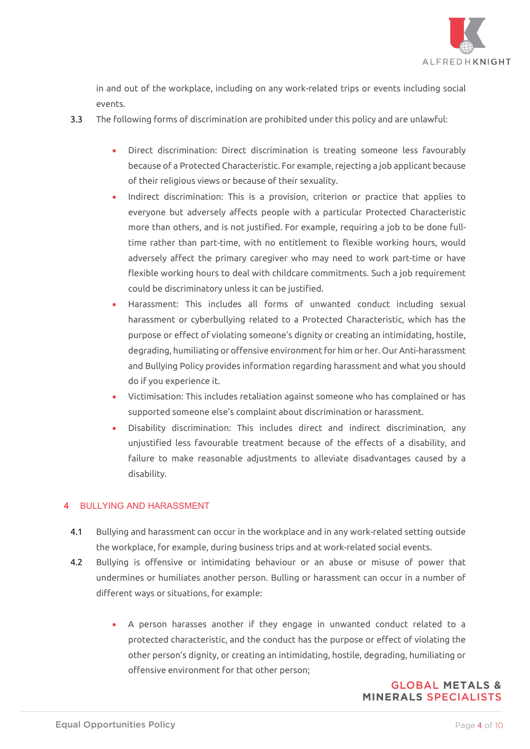

in and out of the workplace, including on any work-related trips or events including social events.

- 3.3 The following forms of discrimination are prohibited under this policy and are unlawful:
	- Direct discrimination: Direct discrimination is treating someone less favourably because of a Protected Characteristic. For example, rejecting a job applicant because of their religious views or because of their sexuality.
	- Indirect discrimination: This is a provision, criterion or practice that applies to everyone but adversely affects people with a particular Protected Characteristic more than others, and is not justified. For example, requiring a job to be done fulltime rather than part-time, with no entitlement to flexible working hours, would adversely affect the primary caregiver who may need to work part-time or have flexible working hours to deal with childcare commitments. Such a job requirement could be discriminatory unless it can be justified.
	- Harassment: This includes all forms of unwanted conduct including sexual harassment or cyberbullying related to a Protected Characteristic, which has the purpose or effect of violating someone's dignity or creating an intimidating, hostile, degrading, humiliating or offensive environment for him or her. Our Anti-harassment and Bullying Policy provides information regarding harassment and what you should do if you experience it.
	- Victimisation: This includes retaliation against someone who has complained or has supported someone else's complaint about discrimination or harassment.
	- Disability discrimination: This includes direct and indirect discrimination, any unjustified less favourable treatment because of the effects of a disability, and failure to make reasonable adjustments to alleviate disadvantages caused by a disability.

## 4 BULLYING AND HARASSMENT

- 4.1 Bullying and harassment can occur in the workplace and in any work-related setting outside the workplace, for example, during business trips and at work-related social events.
- 4.2 Bullying is offensive or intimidating behaviour or an abuse or misuse of power that undermines or humiliates another person. Bulling or harassment can occur in a number of different ways or situations, for example:
	- A person harasses another if they engage in unwanted conduct related to a protected characteristic, and the conduct has the purpose or effect of violating the other person's dignity, or creating an intimidating, hostile, degrading, humiliating or offensive environment for that other person;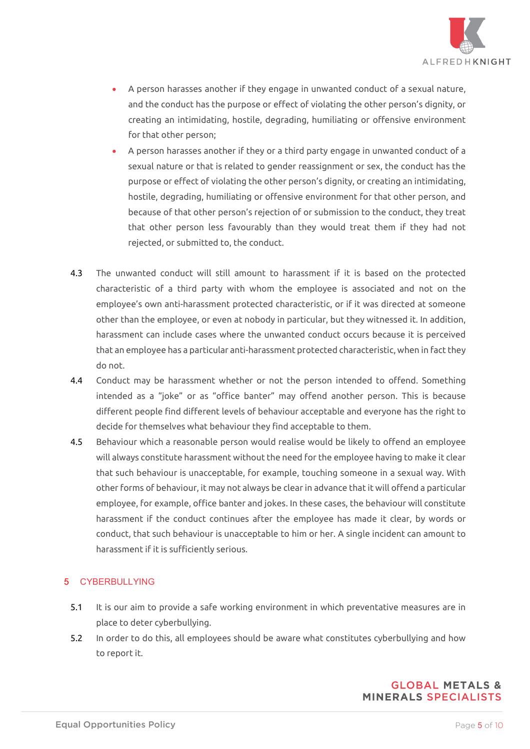

- A person harasses another if they engage in unwanted conduct of a sexual nature, and the conduct has the purpose or effect of violating the other person's dignity, or creating an intimidating, hostile, degrading, humiliating or offensive environment for that other person;
- A person harasses another if they or a third party engage in unwanted conduct of a sexual nature or that is related to gender reassignment or sex, the conduct has the purpose or effect of violating the other person's dignity, or creating an intimidating, hostile, degrading, humiliating or offensive environment for that other person, and because of that other person's rejection of or submission to the conduct, they treat that other person less favourably than they would treat them if they had not rejected, or submitted to, the conduct.
- 4.3 The unwanted conduct will still amount to harassment if it is based on the protected characteristic of a third party with whom the employee is associated and not on the employee's own anti-harassment protected characteristic, or if it was directed at someone other than the employee, or even at nobody in particular, but they witnessed it. In addition, harassment can include cases where the unwanted conduct occurs because it is perceived that an employee has a particular anti-harassment protected characteristic, when in fact they do not.
- 4.4 Conduct may be harassment whether or not the person intended to offend. Something intended as a "joke" or as "office banter" may offend another person. This is because different people find different levels of behaviour acceptable and everyone has the right to decide for themselves what behaviour they find acceptable to them.
- 4.5 Behaviour which a reasonable person would realise would be likely to offend an employee will always constitute harassment without the need for the employee having to make it clear that such behaviour is unacceptable, for example, touching someone in a sexual way. With other forms of behaviour, it may not always be clear in advance that it will offend a particular employee, for example, office banter and jokes. In these cases, the behaviour will constitute harassment if the conduct continues after the employee has made it clear, by words or conduct, that such behaviour is unacceptable to him or her. A single incident can amount to harassment if it is sufficiently serious.

#### 5 CYBERBULLYING

- 5.1 It is our aim to provide a safe working environment in which preventative measures are in place to deter cyberbullying.
- 5.2 In order to do this, all employees should be aware what constitutes cyberbullying and how to report it.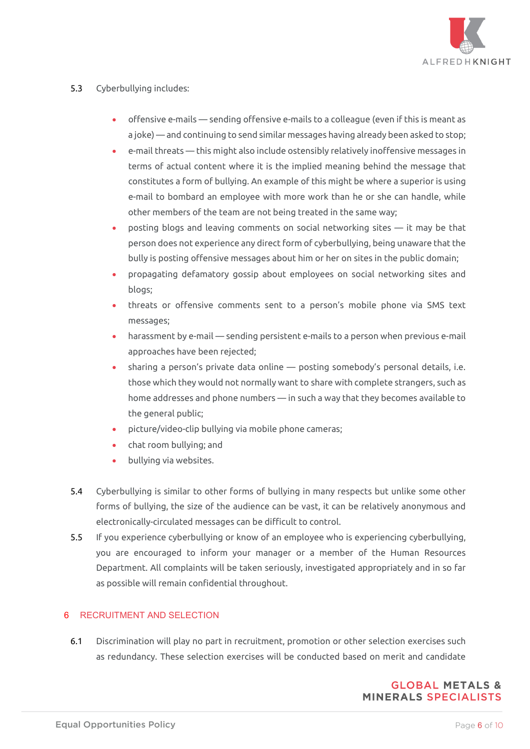

#### 5.3 Cyberbullying includes:

- offensive e-mails sending offensive e-mails to a colleague (even if this is meant as a joke) — and continuing to send similar messages having already been asked to stop;
- e-mail threats this might also include ostensibly relatively inoffensive messages in terms of actual content where it is the implied meaning behind the message that constitutes a form of bullying. An example of this might be where a superior is using e-mail to bombard an employee with more work than he or she can handle, while other members of the team are not being treated in the same way;
- posting blogs and leaving comments on social networking sites it may be that person does not experience any direct form of cyberbullying, being unaware that the bully is posting offensive messages about him or her on sites in the public domain;
- propagating defamatory gossip about employees on social networking sites and blogs;
- threats or offensive comments sent to a person's mobile phone via SMS text messages;
- harassment by e-mail sending persistent e-mails to a person when previous e-mail approaches have been rejected;
- sharing a person's private data online posting somebody's personal details, i.e. those which they would not normally want to share with complete strangers, such as home addresses and phone numbers — in such a way that they becomes available to the general public;
- picture/video-clip bullying via mobile phone cameras;
- chat room bullying; and
- bullying via websites.
- 5.4 Cyberbullying is similar to other forms of bullying in many respects but unlike some other forms of bullying, the size of the audience can be vast, it can be relatively anonymous and electronically-circulated messages can be difficult to control.
- 5.5 If you experience cyberbullying or know of an employee who is experiencing cyberbullying, you are encouraged to inform your manager or a member of the Human Resources Department. All complaints will be taken seriously, investigated appropriately and in so far as possible will remain confidential throughout.

## 6 RECRUITMENT AND SELECTION

6.1 Discrimination will play no part in recruitment, promotion or other selection exercises such as redundancy. These selection exercises will be conducted based on merit and candidate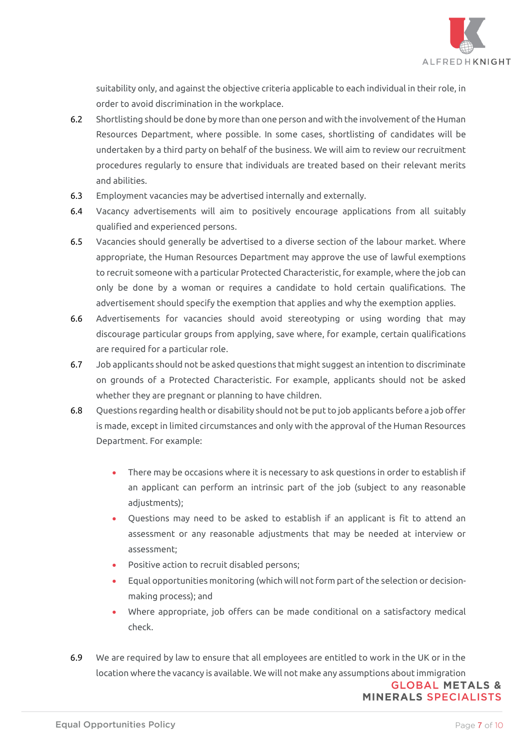

suitability only, and against the objective criteria applicable to each individual in their role, in order to avoid discrimination in the workplace.

- 6.2 Shortlisting should be done by more than one person and with the involvement of the Human Resources Department, where possible. In some cases, shortlisting of candidates will be undertaken by a third party on behalf of the business. We will aim to review our recruitment procedures regularly to ensure that individuals are treated based on their relevant merits and abilities.
- 6.3 Employment vacancies may be advertised internally and externally.
- 6.4 Vacancy advertisements will aim to positively encourage applications from all suitably qualified and experienced persons.
- 6.5 Vacancies should generally be advertised to a diverse section of the labour market. Where appropriate, the Human Resources Department may approve the use of lawful exemptions to recruit someone with a particular Protected Characteristic, for example, where the job can only be done by a woman or requires a candidate to hold certain qualifications. The advertisement should specify the exemption that applies and why the exemption applies.
- 6.6 Advertisements for vacancies should avoid stereotyping or using wording that may discourage particular groups from applying, save where, for example, certain qualifications are required for a particular role.
- 6.7 Job applicants should not be asked questions that might suggest an intention to discriminate on grounds of a Protected Characteristic. For example, applicants should not be asked whether they are pregnant or planning to have children.
- 6.8 Questions regarding health or disability should not be put to job applicants before a job offer is made, except in limited circumstances and only with the approval of the Human Resources Department. For example:
	- There may be occasions where it is necessary to ask questions in order to establish if an applicant can perform an intrinsic part of the job (subject to any reasonable adjustments);
	- Questions may need to be asked to establish if an applicant is fit to attend an assessment or any reasonable adjustments that may be needed at interview or assessment;
	- Positive action to recruit disabled persons;
	- Equal opportunities monitoring (which will not form part of the selection or decisionmaking process); and
	- Where appropriate, job offers can be made conditional on a satisfactory medical check.
- 6.9 We are required by law to ensure that all employees are entitled to work in the UK or in the location where the vacancy is available. We will not make any assumptions about immigration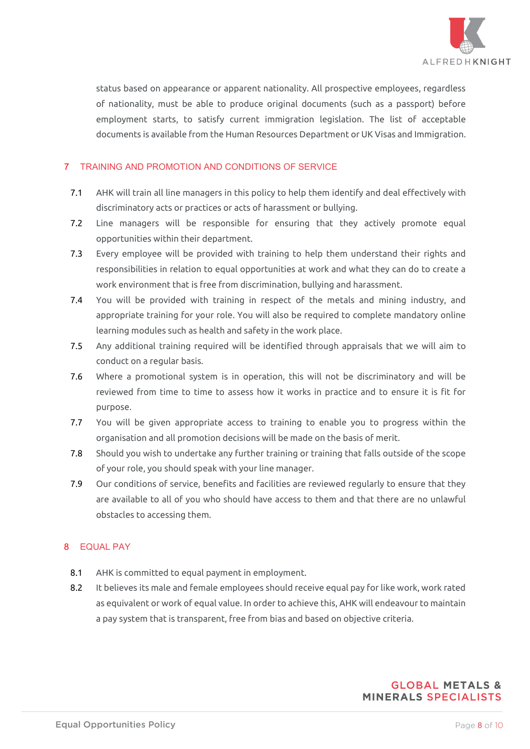

status based on appearance or apparent nationality. All prospective employees, regardless of nationality, must be able to produce original documents (such as a passport) before employment starts, to satisfy current immigration legislation. The list of acceptable documents is available from the Human Resources Department or UK Visas and Immigration.

#### 7 TRAINING AND PROMOTION AND CONDITIONS OF SERVICE

- 7.1 AHK will train all line managers in this policy to help them identify and deal effectively with discriminatory acts or practices or acts of harassment or bullying.
- 7.2 Line managers will be responsible for ensuring that they actively promote equal opportunities within their department.
- 7.3 Every employee will be provided with training to help them understand their rights and responsibilities in relation to equal opportunities at work and what they can do to create a work environment that is free from discrimination, bullying and harassment.
- 7.4 You will be provided with training in respect of the metals and mining industry, and appropriate training for your role. You will also be required to complete mandatory online learning modules such as health and safety in the work place.
- 7.5 Any additional training required will be identified through appraisals that we will aim to conduct on a regular basis.
- 7.6 Where a promotional system is in operation, this will not be discriminatory and will be reviewed from time to time to assess how it works in practice and to ensure it is fit for purpose.
- 7.7 You will be given appropriate access to training to enable you to progress within the organisation and all promotion decisions will be made on the basis of merit.
- 7.8 Should you wish to undertake any further training or training that falls outside of the scope of your role, you should speak with your line manager.
- 7.9 Our conditions of service, benefits and facilities are reviewed regularly to ensure that they are available to all of you who should have access to them and that there are no unlawful obstacles to accessing them.

## 8 EQUAL PAY

- 8.1 AHK is committed to equal payment in employment.
- 8.2 It believes its male and female employees should receive equal pay for like work, work rated as equivalent or work of equal value. In order to achieve this, AHK will endeavour to maintain a pay system that is transparent, free from bias and based on objective criteria.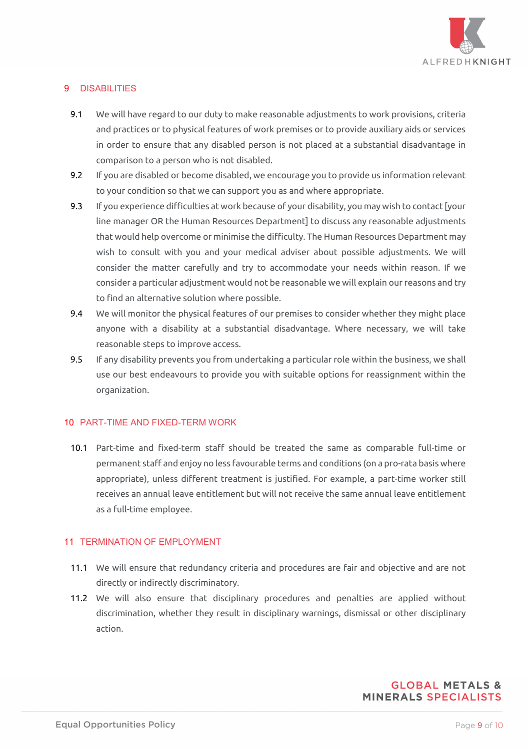

# 9 DISABILITIES

- 9.1 We will have regard to our duty to make reasonable adjustments to work provisions, criteria and practices or to physical features of work premises or to provide auxiliary aids or services in order to ensure that any disabled person is not placed at a substantial disadvantage in comparison to a person who is not disabled.
- 9.2 If you are disabled or become disabled, we encourage you to provide us information relevant to your condition so that we can support you as and where appropriate.
- 9.3 If you experience difficulties at work because of your disability, you may wish to contact [your line manager OR the Human Resources Department] to discuss any reasonable adjustments that would help overcome or minimise the difficulty. The Human Resources Department may wish to consult with you and your medical adviser about possible adjustments. We will consider the matter carefully and try to accommodate your needs within reason. If we consider a particular adjustment would not be reasonable we will explain our reasons and try to find an alternative solution where possible.
- 9.4 We will monitor the physical features of our premises to consider whether they might place anyone with a disability at a substantial disadvantage. Where necessary, we will take reasonable steps to improve access.
- 9.5 If any disability prevents you from undertaking a particular role within the business, we shall use our best endeavours to provide you with suitable options for reassignment within the organization.

#### 10 PART-TIME AND FIXED-TERM WORK

10.1 Part-time and fixed-term staff should be treated the same as comparable full-time or permanent staff and enjoy no less favourable terms and conditions (on a pro-rata basis where appropriate), unless different treatment is justified. For example, a part-time worker still receives an annual leave entitlement but will not receive the same annual leave entitlement as a full-time employee.

#### 11 TERMINATION OF EMPLOYMENT

- 11.1 We will ensure that redundancy criteria and procedures are fair and objective and are not directly or indirectly discriminatory.
- 11.2 We will also ensure that disciplinary procedures and penalties are applied without discrimination, whether they result in disciplinary warnings, dismissal or other disciplinary action.